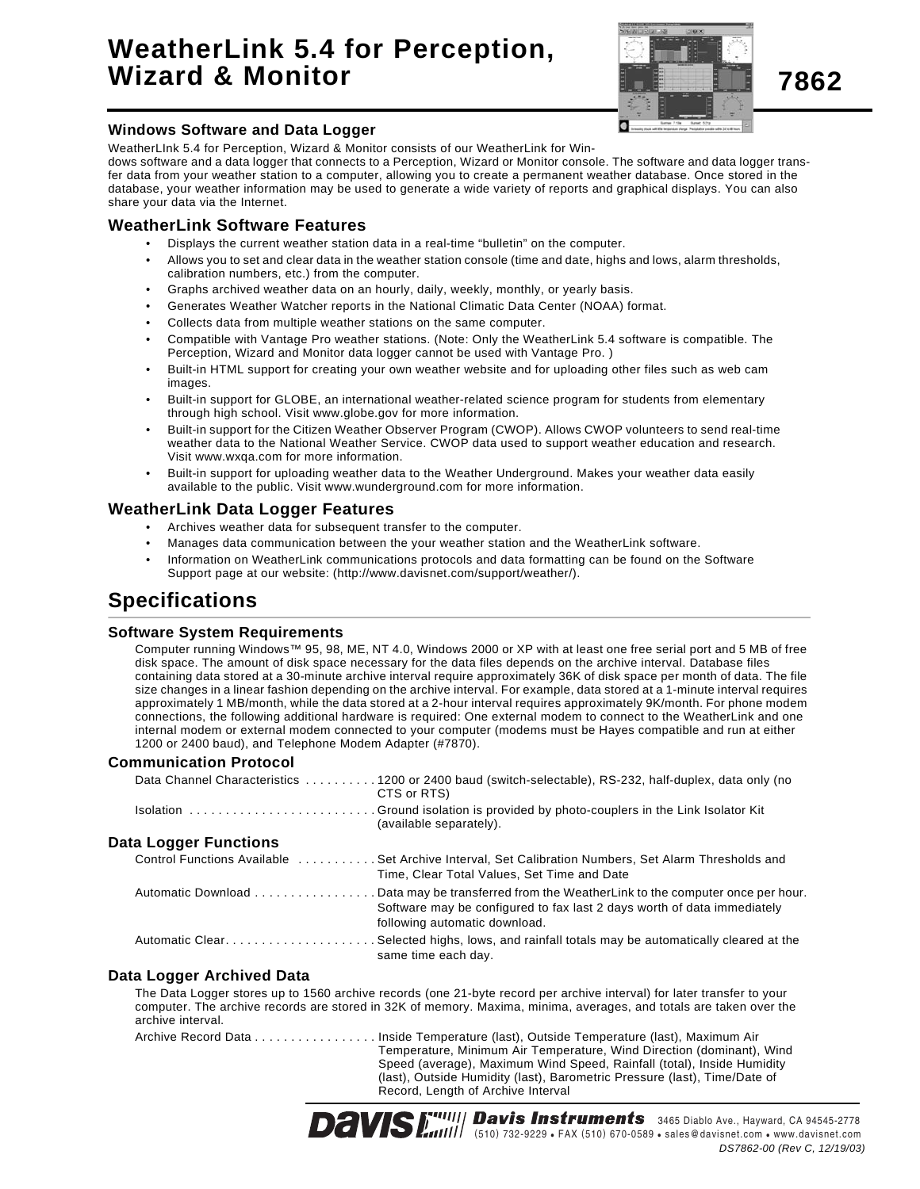# **WeatherLink 5.4 for Perception, Wizard & Monitor**



**Windows Software and Data Logger**

WeatherLInk 5.4 for Perception, Wizard & Monitor consists of our WeatherLink for Win-

dows software and a data logger that connects to a Perception, Wizard or Monitor console. The software and data logger transfer data from your weather station to a computer, allowing you to create a permanent weather database. Once stored in the database, your weather information may be used to generate a wide variety of reports and graphical displays. You can also share your data via the Internet.

#### **WeatherLink Software Features**

- Displays the current weather station data in a real-time "bulletin" on the computer.
- Allows you to set and clear data in the weather station console (time and date, highs and lows, alarm thresholds, calibration numbers, etc.) from the computer.
- Graphs archived weather data on an hourly, daily, weekly, monthly, or yearly basis.
- Generates Weather Watcher reports in the National Climatic Data Center (NOAA) format.
- Collects data from multiple weather stations on the same computer.
- Compatible with Vantage Pro weather stations. (Note: Only the WeatherLink 5.4 software is compatible. The Perception, Wizard and Monitor data logger cannot be used with Vantage Pro. )
- Built-in HTML support for creating your own weather website and for uploading other files such as web cam images.
- Built-in support for GLOBE, an international weather-related science program for students from elementary through high school. Visit www.globe.gov for more information.
- Built-in support for the Citizen Weather Observer Program (CWOP). Allows CWOP volunteers to send real-time weather data to the National Weather Service. CWOP data used to support weather education and research. Visit www.wxqa.com for more information.
- Built-in support for uploading weather data to the Weather Underground. Makes your weather data easily available to the public. Visit www.wunderground.com for more information.

#### **WeatherLink Data Logger Features**

- Archives weather data for subsequent transfer to the computer.
- Manages data communication between the your weather station and the WeatherLink software.
- Information on WeatherLink communications protocols and data formatting can be found on the Software Support page at our website: (http://www.davisnet.com/support/weather/).

## **Specifications**

#### **Software System Requirements**

Computer running Windows™ 95, 98, ME, NT 4.0, Windows 2000 or XP with at least one free serial port and 5 MB of free disk space. The amount of disk space necessary for the data files depends on the archive interval. Database files containing data stored at a 30-minute archive interval require approximately 36K of disk space per month of data. The file size changes in a linear fashion depending on the archive interval. For example, data stored at a 1-minute interval requires approximately 1 MB/month, while the data stored at a 2-hour interval requires approximately 9K/month. For phone modem connections, the following additional hardware is required: One external modem to connect to the WeatherLink and one internal modem or external modem connected to your computer (modems must be Hayes compatible and run at either 1200 or 2400 baud), and Telephone Modem Adapter (#7870).

#### **Communication Protocol**

|                              | Data Channel Characteristics 1200 or 2400 baud (switch-selectable), RS-232, half-duplex, data only (no<br>CTS or RTS)                                                                   |
|------------------------------|-----------------------------------------------------------------------------------------------------------------------------------------------------------------------------------------|
|                              | (available separately).                                                                                                                                                                 |
| <b>Data Logger Functions</b> |                                                                                                                                                                                         |
|                              | Control Functions Available Set Archive Interval, Set Calibration Numbers, Set Alarm Thresholds and<br>Time, Clear Total Values, Set Time and Date                                      |
| Automatic Download           | Data may be transferred from the WeatherLink to the computer once per hour.<br>Software may be configured to fax last 2 days worth of data immediately<br>following automatic download. |
|                              | Automatic ClearSelected highs, lows, and rainfall totals may be automatically cleared at the<br>same time each day.                                                                     |

#### **Data Logger Archived Data**

The Data Logger stores up to 1560 archive records (one 21-byte record per archive interval) for later transfer to your computer. The archive records are stored in 32K of memory. Maxima, minima, averages, and totals are taken over the archive interval.

Archive Record Data . . . . . . . . . . . . . . . . . Inside Temperature (last), Outside Temperature (last), Maximum Air Temperature, Minimum Air Temperature, Wind Direction (dominant), Wind Speed (average), Maximum Wind Speed, Rainfall (total), Inside Humidity (last), Outside Humidity (last), Barometric Pressure (last), Time/Date of Record, Length of Archive Interval